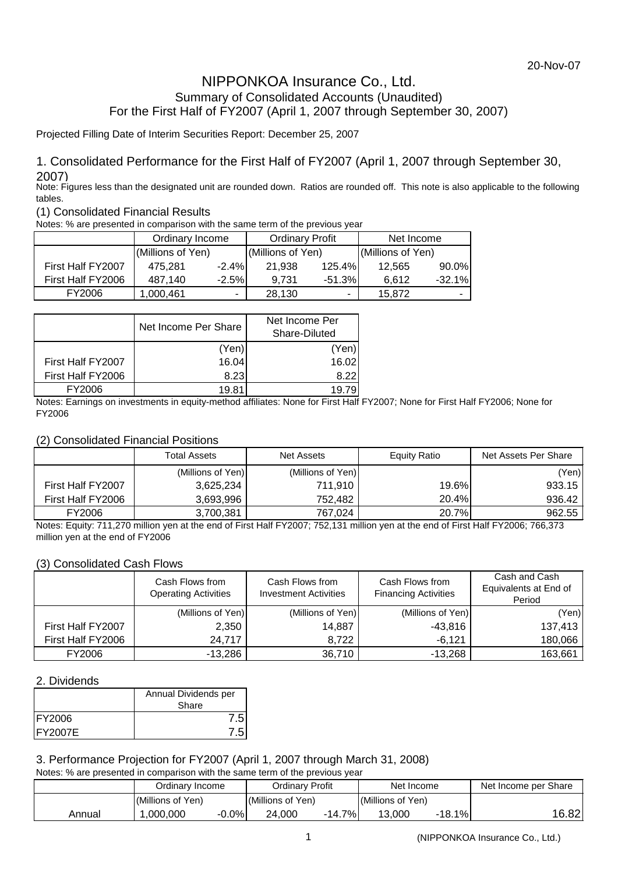## NIPPONKOA Insurance Co., Ltd. Summary of Consolidated Accounts (Unaudited) For the First Half of FY2007 (April 1, 2007 through September 30, 2007)

Projected Filling Date of Interim Securities Report: December 25, 2007

## 1. Consolidated Performance for the First Half of FY2007 (April 1, 2007 through September 30, 2007)

Note: Figures less than the designated unit are rounded down. Ratios are rounded off. This note is also applicable to the following tables.

## (1) Consolidated Financial Results

Notes: % are presented in comparison with the same term of the previous year

|                   | Ordinary Income   |                          |                   | <b>Ordinary Profit</b> | Net Income        |          |  |
|-------------------|-------------------|--------------------------|-------------------|------------------------|-------------------|----------|--|
|                   | (Millions of Yen) |                          | (Millions of Yen) |                        | (Millions of Yen) |          |  |
| First Half FY2007 | 475.281           | $-2.4\%$                 | 21.938            | 125.4%                 | 12.565            | $90.0\%$ |  |
| First Half FY2006 | 487.140           | $-2.5%$                  | 9.731             | $-51.3%$               | 6.612             | $-32.1%$ |  |
| FY2006            | 1,000,461         | $\overline{\phantom{a}}$ | 28.130            | ٠                      | 15.872            |          |  |

|                   | Net Income Per Share | Net Income Per<br>Share-Diluted |  |  |
|-------------------|----------------------|---------------------------------|--|--|
|                   | (Yen)                | (Yen)                           |  |  |
| First Half FY2007 | 16.04                | 16.02                           |  |  |
| First Half FY2006 | 8.23                 | 8.22                            |  |  |
| FY2006            | 19 R1                | 19 79                           |  |  |

Notes: Earnings on investments in equity-method affiliates: None for First Half FY2007; None for First Half FY2006; None for FY2006

### (2) Consolidated Financial Positions

|                   | Total Assets      | Net Assets        | Equity Ratio | Net Assets Per Share |
|-------------------|-------------------|-------------------|--------------|----------------------|
|                   | (Millions of Yen) | (Millions of Yen) |              | (Yen)                |
| First Half FY2007 | 3,625,234         | 711.910           | 19.6%        | 933.15               |
| First Half FY2006 | 3,693,996         | 752.482           | 20.4%        | 936.42               |
| FY2006            | 3,700,381         | 767.024           | 20.7%        | 962.55               |

Notes: Equity: 711,270 million yen at the end of First Half FY2007; 752,131 million yen at the end of First Half FY2006; 766,373 million yen at the end of FY2006

### (3) Consolidated Cash Flows

|                   | Cash Flows from<br><b>Operating Activities</b> | Cash Flows from<br><b>Investment Activities</b> | Cash Flows from<br><b>Financing Activities</b> | Cash and Cash<br>Equivalents at End of<br>Period |  |
|-------------------|------------------------------------------------|-------------------------------------------------|------------------------------------------------|--------------------------------------------------|--|
|                   | (Millions of Yen)                              | (Millions of Yen)                               | (Millions of Yen)                              | (Yen)                                            |  |
| First Half FY2007 | 2,350                                          | 14,887                                          | $-43,816$                                      | 137,413                                          |  |
| First Half FY2006 | 24,717                                         | 8,722                                           | $-6,121$                                       | 180,066                                          |  |
| FY2006            | $-13,286$                                      | 36,710                                          | $-13.268$                                      | 163,661                                          |  |

### 2. Dividends

|                 | Annual Dividends per |  |  |  |
|-----------------|----------------------|--|--|--|
|                 | Share                |  |  |  |
| <b>FY2006</b>   |                      |  |  |  |
| <b>IFY2007E</b> |                      |  |  |  |

## 3. Performance Projection for FY2007 (April 1, 2007 through March 31, 2008)

Notes: % are presented in comparison with the same term of the previous year

|        | Ordinarv Income      | Ordinarv Profit       | Net Income        | Net Income per Share |  |
|--------|----------------------|-----------------------|-------------------|----------------------|--|
|        | Millions of Yen)     | (Millions of Yen)     | (Millions of Yen) |                      |  |
| Annual | $-0.0\%$<br>,000,000 | 7%.<br>24,000<br>14.7 | 18.1%<br>13.000   | 16.82                |  |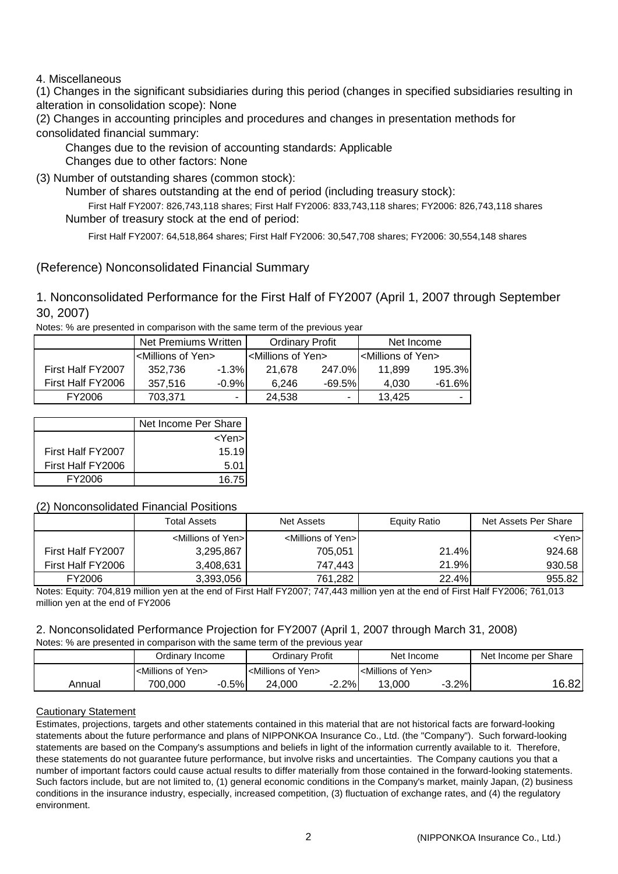4. Miscellaneous

(1) Changes in the significant subsidiaries during this period (changes in specified subsidiaries resulting in alteration in consolidation scope): None

(2) Changes in accounting principles and procedures and changes in presentation methods for consolidated financial summary:

 Changes due to other factors: None Changes due to the revision of accounting standards: Applicable

(3) Number of outstanding shares (common stock):

Number of shares outstanding at the end of period (including treasury stock):

 First Half FY2007: 826,743,118 shares; First Half FY2006: 833,743,118 shares; FY2006: 826,743,118 shares Number of treasury stock at the end of period:

First Half FY2007: 64,518,864 shares; First Half FY2006: 30,547,708 shares; FY2006: 30,554,148 shares

(Reference) Nonconsolidated Financial Summary

1. Nonconsolidated Performance for the First Half of FY2007 (April 1, 2007 through September 30, 2007)

Notes: % are presented in comparison with the same term of the previous year

|                   | Net Premiums Written               |          |                                      | <b>Ordinary Profit</b>   | Net Income                           |          |  |
|-------------------|------------------------------------|----------|--------------------------------------|--------------------------|--------------------------------------|----------|--|
|                   | <millions of="" yen=""></millions> |          | l <millions of="" yen=""></millions> |                          | I <millions of="" yen=""></millions> |          |  |
| First Half FY2007 | 352.736                            | $-1.3%$  | 21.678                               | 247.0%                   | 11.899                               | 195.3%   |  |
| First Half FY2006 | 357.516                            | $-0.9\%$ | 6.246                                | $-69.5%$                 | 4.030                                | $-61.6%$ |  |
| FY2006            | 703.371                            | ۰        | 24.538                               | $\overline{\phantom{a}}$ | 13.425                               |          |  |

|                   | Net Income Per Share |
|-------------------|----------------------|
|                   | <yen></yen>          |
| First Half FY2007 | 15.19                |
| First Half FY2006 | 5.01                 |
| <b>FY2006</b>     | 16.75                |

## (2) Nonconsolidated Financial Positions

|                   | <b>Total Assets</b>                 | <b>Net Assets</b>                   | Equity Ratio | Net Assets Per Share |
|-------------------|-------------------------------------|-------------------------------------|--------------|----------------------|
|                   | <millions of="" yen="">I</millions> | <millions of="" yen="">I</millions> |              | <yen>l</yen>         |
| First Half FY2007 | 3,295,867                           | 705,051                             | 21.4%        | 924.68               |
| First Half FY2006 | 3,408,631                           | 747.443                             | 21.9%        | 930.58               |
| FY2006            | 3,393,056                           | 761.282                             | 22.4%        | 955.82               |

Notes: Equity: 704,819 million yen at the end of First Half FY2007; 747,443 million yen at the end of First Half FY2006; 761,013 million yen at the end of FY2006

#### 2. Nonconsolidated Performance Projection for FY2007 (April 1, 2007 through March 31, 2008) Notes: % are presented in comparison with the same term of the previous year

| TVOLES. 70 ALE DI ESERICO IN COMPANSON WILLI LITE SANTE LENNI OF LITE DI EVIDUS VEAL |                                    |         |                                    |          |                                    |         |                      |  |  |  |
|--------------------------------------------------------------------------------------|------------------------------------|---------|------------------------------------|----------|------------------------------------|---------|----------------------|--|--|--|
|                                                                                      | Ordinarv Income                    |         | Ordinarv Profit                    |          | Net Income                         |         | Net Income per Share |  |  |  |
|                                                                                      | <millions of="" yen=""></millions> |         | <millions of="" yen=""></millions> |          | <millions of="" yen=""></millions> |         |                      |  |  |  |
| Annual                                                                               | 700.000                            | $-0.5%$ | 24.000                             | $-2.2\%$ | 13.000                             | $-3.2%$ | 16.821               |  |  |  |

### Cautionary Statement

Estimates, projections, targets and other statements contained in this material that are not historical facts are forward-looking statements about the future performance and plans of NIPPONKOA Insurance Co., Ltd. (the "Company"). Such forward-looking statements are based on the Company's assumptions and beliefs in light of the information currently available to it. Therefore, these statements do not guarantee future performance, but involve risks and uncertainties. The Company cautions you that a number of important factors could cause actual results to differ materially from those contained in the forward-looking statements. Such factors include, but are not limited to, (1) general economic conditions in the Company's market, mainly Japan, (2) business conditions in the insurance industry, especially, increased competition, (3) fluctuation of exchange rates, and (4) the regulatory environment.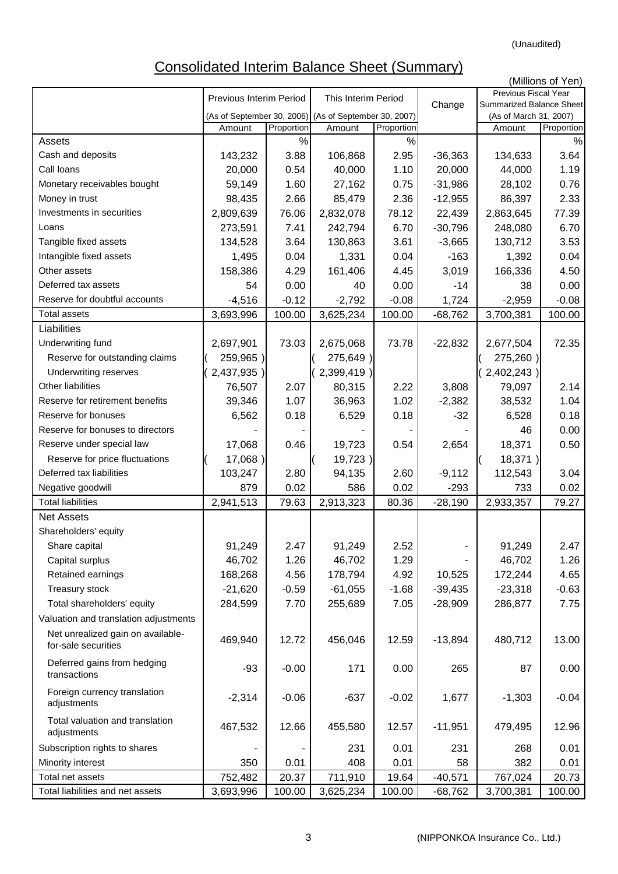# Consolidated Interim Balance Sheet (Summary)

|                                                          |                            | (Millions of Yen) |                            |            |           |                                                    |            |  |  |
|----------------------------------------------------------|----------------------------|-------------------|----------------------------|------------|-----------|----------------------------------------------------|------------|--|--|
|                                                          | Previous Interim Period    |                   | This Interim Period        |            |           | Previous Fiscal Year                               |            |  |  |
|                                                          | (As of September 30, 2006) |                   | (As of September 30, 2007) |            | Change    | Summarized Balance Sheet<br>(As of March 31, 2007) |            |  |  |
|                                                          | Amount                     | Proportion        | Amount                     | Proportion |           | Amount                                             | Proportion |  |  |
| Assets                                                   |                            | $\%$              |                            | $\%$       |           |                                                    | %          |  |  |
| Cash and deposits                                        | 143,232                    | 3.88              | 106,868                    | 2.95       | $-36,363$ | 134,633                                            | 3.64       |  |  |
| Call loans                                               | 20,000                     | 0.54              | 40,000                     | 1.10       | 20,000    | 44,000                                             | 1.19       |  |  |
| Monetary receivables bought                              | 59,149                     | 1.60              | 27,162                     | 0.75       | $-31,986$ | 28,102                                             | 0.76       |  |  |
| Money in trust                                           | 98,435                     | 2.66              | 85,479                     | 2.36       | $-12,955$ | 86,397                                             | 2.33       |  |  |
| Investments in securities                                | 2,809,639                  | 76.06             | 2,832,078                  | 78.12      | 22,439    | 2,863,645                                          | 77.39      |  |  |
| Loans                                                    | 273,591                    | 7.41              | 242,794                    | 6.70       | $-30,796$ | 248,080                                            | 6.70       |  |  |
| Tangible fixed assets                                    | 134,528                    | 3.64              | 130,863                    | 3.61       | $-3,665$  | 130,712                                            | 3.53       |  |  |
| Intangible fixed assets                                  | 1,495                      | 0.04              | 1,331                      | 0.04       | $-163$    | 1,392                                              | 0.04       |  |  |
| Other assets                                             | 158,386                    | 4.29              | 161,406                    | 4.45       | 3,019     | 166,336                                            | 4.50       |  |  |
| Deferred tax assets                                      | 54                         | 0.00              | 40                         | 0.00       | $-14$     | 38                                                 | 0.00       |  |  |
| Reserve for doubtful accounts                            | $-4,516$                   | $-0.12$           | $-2,792$                   | $-0.08$    | 1,724     | $-2,959$                                           | $-0.08$    |  |  |
| <b>Total assets</b>                                      | 3,693,996                  | 100.00            | 3,625,234                  | 100.00     | $-68,762$ | 3,700,381                                          | 100.00     |  |  |
| Liabilities                                              |                            |                   |                            |            |           |                                                    |            |  |  |
| Underwriting fund                                        | 2,697,901                  | 73.03             | 2,675,068                  | 73.78      | $-22,832$ | 2,677,504                                          | 72.35      |  |  |
| Reserve for outstanding claims                           | 259,965)                   |                   | 275,649)                   |            |           | 275,260)                                           |            |  |  |
| Underwriting reserves                                    | 2,437,935)                 |                   | 2,399,419)                 |            |           | 2,402,243)                                         |            |  |  |
| Other liabilities                                        | 76,507                     | 2.07              | 80,315                     | 2.22       | 3,808     | 79,097                                             | 2.14       |  |  |
| Reserve for retirement benefits                          | 39,346                     | 1.07              | 36,963                     | 1.02       | $-2,382$  | 38,532                                             | 1.04       |  |  |
| Reserve for bonuses                                      | 6,562                      | 0.18              | 6,529                      | 0.18       | $-32$     | 6,528                                              | 0.18       |  |  |
| Reserve for bonuses to directors                         |                            |                   |                            |            |           | 46                                                 | 0.00       |  |  |
| Reserve under special law                                | 17,068                     | 0.46              | 19,723                     | 0.54       | 2,654     | 18,371                                             | 0.50       |  |  |
| Reserve for price fluctuations                           | $17,068$ )                 |                   | 19,723)                    |            |           | $18,371$ )                                         |            |  |  |
| Deferred tax liabilities                                 | 103,247                    | 2.80              | 94,135                     | 2.60       | $-9,112$  | 112,543                                            | 3.04       |  |  |
| Negative goodwill                                        | 879                        | 0.02              | 586                        | 0.02       | $-293$    | 733                                                | 0.02       |  |  |
| <b>Total liabilities</b>                                 | 2,941,513                  | 79.63             | 2,913,323                  | 80.36      | $-28,190$ | 2,933,357                                          | 79.27      |  |  |
| <b>Net Assets</b>                                        |                            |                   |                            |            |           |                                                    |            |  |  |
| Shareholders' equity                                     |                            |                   |                            |            |           |                                                    |            |  |  |
| Share capital                                            | 91,249                     | 2.47              | 91,249                     | 2.52       |           | 91,249                                             | 2.47       |  |  |
| Capital surplus                                          | 46,702                     | 1.26              | 46,702                     | 1.29       |           | 46,702                                             | 1.26       |  |  |
| Retained earnings                                        | 168,268                    | 4.56              | 178,794                    | 4.92       | 10,525    | 172,244                                            | 4.65       |  |  |
| Treasury stock                                           | $-21,620$                  | $-0.59$           | $-61,055$                  | $-1.68$    | $-39,435$ | $-23,318$                                          | $-0.63$    |  |  |
| Total shareholders' equity                               | 284,599                    | 7.70              | 255,689                    | 7.05       | $-28,909$ | 286,877                                            | 7.75       |  |  |
| Valuation and translation adjustments                    |                            |                   |                            |            |           |                                                    |            |  |  |
| Net unrealized gain on available-<br>for-sale securities | 469,940                    | 12.72             | 456,046                    | 12.59      | $-13,894$ | 480,712                                            | 13.00      |  |  |
| Deferred gains from hedging<br>transactions              | $-93$                      | $-0.00$           | 171                        | 0.00       | 265       | 87                                                 | 0.00       |  |  |
| Foreign currency translation<br>adjustments              | $-2,314$                   | $-0.06$           | $-637$                     | $-0.02$    | 1,677     | $-1,303$                                           | $-0.04$    |  |  |
| Total valuation and translation<br>adjustments           | 467,532                    | 12.66             | 455,580                    | 12.57      | $-11,951$ | 479,495                                            | 12.96      |  |  |
| Subscription rights to shares                            |                            |                   | 231                        | 0.01       | 231       | 268                                                | 0.01       |  |  |
| Minority interest                                        | 350                        | 0.01              | 408                        | 0.01       | 58        | 382                                                | 0.01       |  |  |
| Total net assets                                         | 752,482                    | 20.37             | 711,910                    | 19.64      | $-40,571$ | 767,024                                            | 20.73      |  |  |
| Total liabilities and net assets                         | 3,693,996                  | 100.00            | 3,625,234                  | 100.00     | $-68,762$ | 3,700,381                                          | 100.00     |  |  |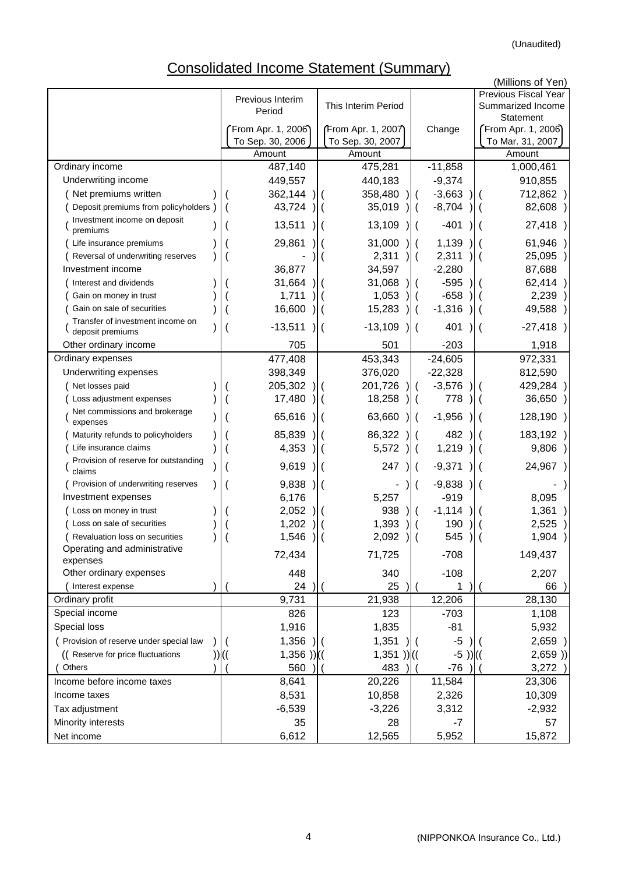# Consolidated Income Statement (Summary)

|                                                      |                            |                            |                          |              | (Millions of Yen)          |
|------------------------------------------------------|----------------------------|----------------------------|--------------------------|--------------|----------------------------|
|                                                      | Previous Interim           |                            |                          |              | Previous Fiscal Year       |
|                                                      | Period                     | This Interim Period        |                          |              | Summarized Income          |
|                                                      |                            |                            |                          |              | Statement                  |
|                                                      | From Apr. 1, 2006)         | From Apr. 1, 2007          |                          | Change       | From Apr. 1, 2006          |
|                                                      | To Sep. 30, 2006<br>Amount | To Sep. 30, 2007<br>Amount |                          |              | To Mar. 31, 2007<br>Amount |
| Ordinary income                                      | 487,140                    | 475,281                    |                          | $-11,858$    | 1,000,461                  |
| Underwriting income                                  | 449,557                    | 440,183                    |                          | $-9,374$     | 910,855                    |
| Net premiums written                                 | 362,144                    | 358,480                    |                          | $-3,663$     | 712,862)                   |
| Deposit premiums from policyholders                  | 43,724                     | 35,019                     |                          | $-8,704$     | 82,608 )                   |
| Investment income on deposit                         |                            |                            |                          |              |                            |
| premiums                                             | 13,511                     | 13,109                     |                          | $-401$       | 27,418)                    |
| Life insurance premiums                              | 29,861                     | 31,000                     |                          | 1,139        | 61,946)                    |
| Reversal of underwriting reserves                    |                            | 2,311                      |                          | 2,311        | 25,095 )                   |
| Investment income                                    | 36,877                     | 34,597                     |                          | $-2,280$     | 87,688                     |
| Interest and dividends                               | 31,664                     | 31,068                     |                          | $-595$       | 62,414)                    |
| Gain on money in trust                               | 1,711                      | 1,053                      |                          | $-658$       | 2,239)                     |
| Gain on sale of securities                           | 16,600                     | 15,283                     | $\left($                 | $-1,316$     | 49,588 )                   |
| Transfer of investment income on<br>deposit premiums | $-13,511$                  | $-13,109$                  | $\overline{\phantom{a}}$ | 401          | $-27,418$ )                |
| Other ordinary income                                | 705                        | 501                        |                          | $-203$       | 1,918                      |
| Ordinary expenses                                    | 477,408                    | 453,343                    |                          | $-24,605$    | 972,331                    |
| Underwriting expenses                                | 398,349                    | 376,020                    |                          | $-22,328$    | 812,590                    |
| Net losses paid                                      | 205,302                    | 201,726                    |                          | $-3,576$     | 429,284)                   |
| Loss adjustment expenses                             | 17,480                     | 18,258                     |                          | 778          | 36,650 )                   |
| Net commissions and brokerage<br>expenses            | 65,616                     | 63,660                     |                          | $-1,956$     | 128,190 )                  |
| Maturity refunds to policyholders                    | 85,839                     | 86,322                     |                          | 482          | 183,192 )                  |
| Life insurance claims                                | 4,353                      | 5,572                      |                          | 1,219        | 9,806)                     |
| Provision of reserve for outstanding<br>claims       | 9,619                      | 247                        |                          | $-9,371$     | 24,967)                    |
| Provision of underwriting reserves                   | 9,838                      |                            |                          | $-9,838$     |                            |
| Investment expenses                                  | 6,176                      | 5,257                      |                          | $-919$       | 8,095                      |
| Loss on money in trust                               | 2,052                      | 938                        |                          | $-1,114$     | 1,361<br>$\lambda$         |
| Loss on sale of securities                           | 1,202                      | 1,393                      |                          | 190          | 2,525)                     |
| Revaluation loss on securities                       | 1,546                      | 2,092                      |                          | 545          | 1,904)                     |
| Operating and administrative<br>expenses             | 72,434                     | 71,725                     |                          | $-708$       | 149,437                    |
| Other ordinary expenses                              | 448                        | 340                        |                          | $-108$       | 2,207                      |
| Interest expense                                     | 24                         | 25                         |                          |              | 66                         |
| Ordinary profit                                      | 9,731                      | 21,938                     |                          | 12,206       | 28,130                     |
| Special income                                       | 826                        | 123                        |                          | $-703$       | 1,108                      |
| Special loss                                         | 1,916                      | 1,835                      |                          | $-81$        | 5,932                      |
| Provision of reserve under special law               | 1,356                      | 1,351                      |                          | $-5$         | $2,659$ )                  |
| (( Reserve for price fluctuations                    | $1,356$ ))((               | $1,351$ ))((               |                          | $-5$ )) $(($ | 2,659)                     |
| Others                                               | 560                        | 483                        |                          | $-76$        | 3,272)                     |
| Income before income taxes                           | 8,641                      | 20,226                     |                          | 11,584       | 23,306                     |
| Income taxes                                         | 8,531                      | 10,858                     |                          | 2,326        | 10,309                     |
| Tax adjustment                                       | $-6,539$                   | $-3,226$                   |                          | 3,312        | $-2,932$                   |
| Minority interests                                   | 35                         | 28                         |                          | -7           | 57                         |
| Net income                                           | 6,612                      | 12,565                     |                          | 5,952        | 15,872                     |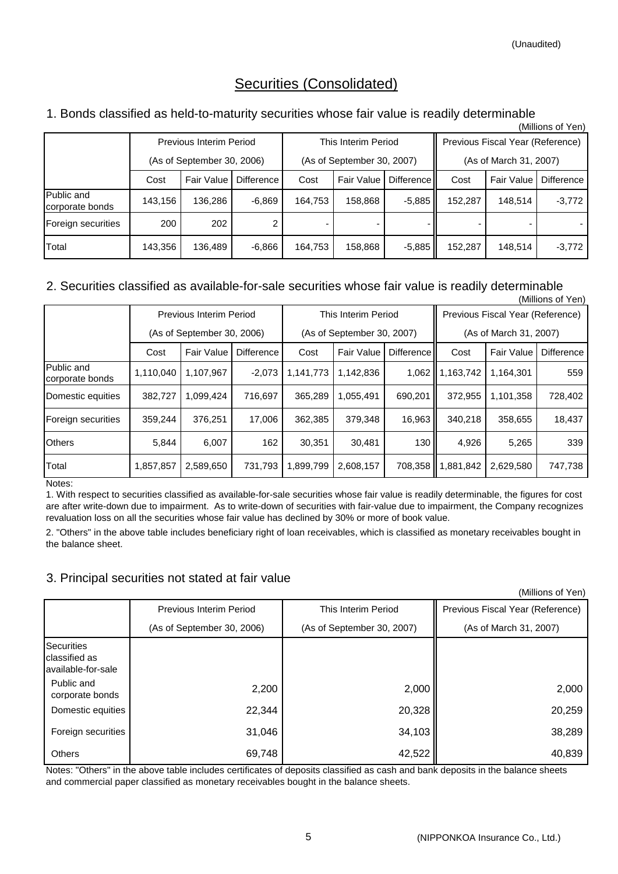## Securities (Consolidated)

## 1. Bonds classified as held-to-maturity securities whose fair value is readily determinable

|                                      |         |                                |              |                            |                     |            |                                  |            | (Millions of Yen) |  |
|--------------------------------------|---------|--------------------------------|--------------|----------------------------|---------------------|------------|----------------------------------|------------|-------------------|--|
|                                      |         | <b>Previous Interim Period</b> |              |                            | This Interim Period |            | Previous Fiscal Year (Reference) |            |                   |  |
|                                      |         | (As of September 30, 2006)     |              | (As of September 30, 2007) |                     |            | (As of March 31, 2007)           |            |                   |  |
|                                      | Cost    | Fair Value                     | Difference I | Cost                       | <b>Fair Value</b>   | Difference | Cost                             | Fair Value | Difference        |  |
| <b>Public and</b><br>corporate bonds | 143,156 | 136.286                        | $-6.869$     | 164.753                    | 158,868             | $-5,885$   | 152,287                          | 148.514    | $-3,772$          |  |
| Foreign securities                   | 200     | 202                            | 2            |                            |                     |            |                                  |            |                   |  |
| Total                                | 143,356 | 136,489                        | $-6,866$     | 164,753                    | 158,868             | $-5,885$   | 152,287                          | 148,514    | $-3,772$          |  |

#### 2. Securities classified as available-for-sale securities whose fair value is readily determinable (Millions of Yen)

|                               |                                  | <b>Previous Interim Period</b> |          |           | This Interim Period                        |         |                        | Previous Fiscal Year (Reference) |            |  |  |
|-------------------------------|----------------------------------|--------------------------------|----------|-----------|--------------------------------------------|---------|------------------------|----------------------------------|------------|--|--|
|                               |                                  | (As of September 30, 2006)     |          |           | (As of September 30, 2007)                 |         | (As of March 31, 2007) |                                  |            |  |  |
|                               | Difference<br>Fair Value<br>Cost |                                |          |           | Difference II<br><b>Fair Value</b><br>Cost |         | Cost                   | Fair Value                       | Difference |  |  |
| Public and<br>corporate bonds | 1,110,040                        | 1,107,967                      | $-2,073$ | 1,141,773 | 1,142,836                                  | 1,062   | 1,163,742              | 1,164,301                        | 559        |  |  |
| Domestic equities             | 382,727                          | 1,099,424                      | 716.697  | 365,289   | 1,055,491                                  | 690,201 | 372,955                | 1,101,358                        | 728,402    |  |  |
| Foreign securities            | 359.244                          | 376.251                        | 17.006   | 362,385   | 379,348                                    | 16,963  | 340.218                | 358,655                          | 18,437     |  |  |
| <b>Others</b>                 | 5,844                            | 6,007                          | 162      | 30,351    | 30,481                                     | 130     | 4,926                  | 5,265                            | 339        |  |  |
| Total                         | 1,857,857                        | 2,589,650                      | 731,793  | 1,899,799 | 2,608,157                                  | 708,358 | 1,881,842              | 2,629,580                        | 747,738    |  |  |

Notes:

1. With respect to securities classified as available-for-sale securities whose fair value is readily determinable, the figures for cost are after write-down due to impairment. As to write-down of securities with fair-value due to impairment, the Company recognizes revaluation loss on all the securities whose fair value has declined by 30% or more of book value.

2. "Others" in the above table includes beneficiary right of loan receivables, which is classified as monetary receivables bought in the balance sheet.

## 3. Principal securities not stated at fair value

(Millions of Yen)

|                                                          | Previous Interim Period    | This Interim Period        | Previous Fiscal Year (Reference) |
|----------------------------------------------------------|----------------------------|----------------------------|----------------------------------|
|                                                          | (As of September 30, 2006) | (As of September 30, 2007) | (As of March 31, 2007)           |
| <b>Securities</b><br>classified as<br>available-for-sale |                            |                            |                                  |
| Public and<br>corporate bonds                            | 2,200                      | 2,000                      | 2,000                            |
| Domestic equities                                        | 22,344                     | 20,328                     | 20,259                           |
| Foreign securities                                       | 31,046                     | 34,103                     | 38,289                           |
| <b>Others</b>                                            | 69,748                     | 42,522                     | 40,839                           |

Notes: "Others" in the above table includes certificates of deposits classified as cash and bank deposits in the balance sheets and commercial paper classified as monetary receivables bought in the balance sheets.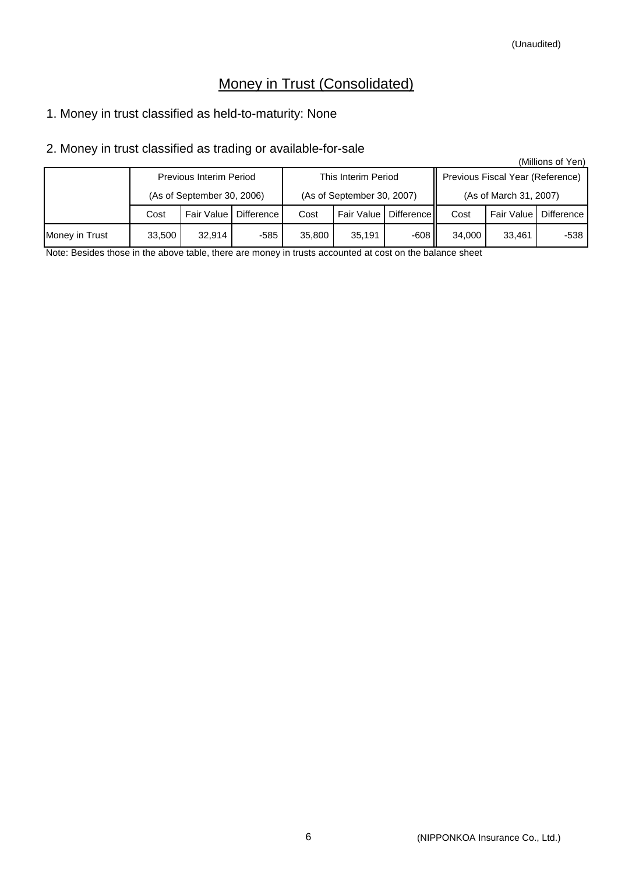## Money in Trust (Consolidated)

## 1. Money in trust classified as held-to-maturity: None

## 2. Money in trust classified as trading or available-for-sale

|                |                                   |                                |      |                            |                         |      |                                  |                         | (Millions of Yen) |  |
|----------------|-----------------------------------|--------------------------------|------|----------------------------|-------------------------|------|----------------------------------|-------------------------|-------------------|--|
|                |                                   | <b>Previous Interim Period</b> |      |                            | This Interim Period     |      | Previous Fiscal Year (Reference) |                         |                   |  |
|                | (As of September 30, 2006)        |                                |      | (As of September 30, 2007) |                         |      | (As of March 31, 2007)           |                         |                   |  |
|                | Fair Value   Difference  <br>Cost |                                | Cost |                            | Fair Value   Difference | Cost |                                  | Fair Value   Difference |                   |  |
| Money in Trust | 33,500                            | 32.914                         | -585 | 35,800                     | 35.191                  | -608 | 34.000                           | 33.461                  | -538              |  |

Note: Besides those in the above table, there are money in trusts accounted at cost on the balance sheet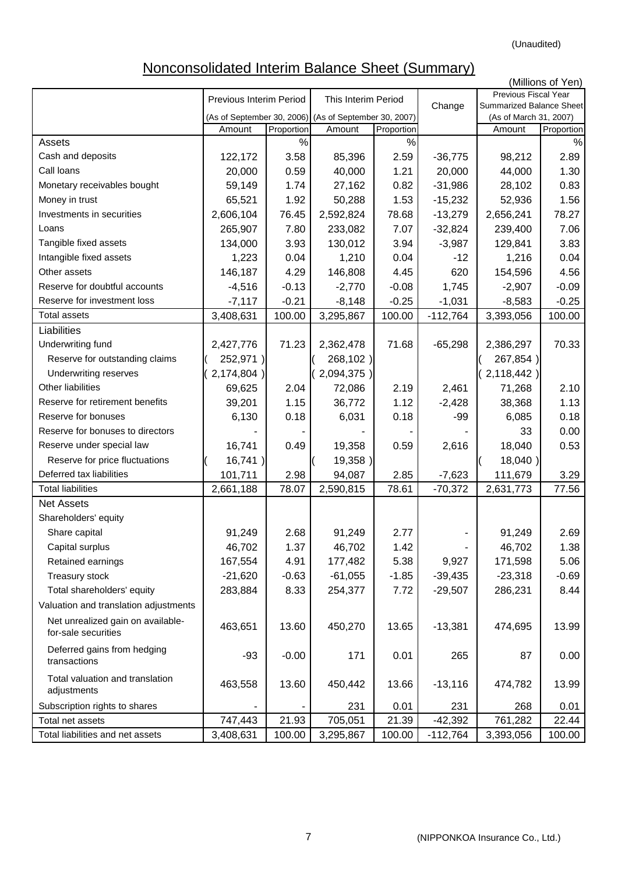(Unaudited)

# Nonconsolidated Interim Balance Sheet (Summary)

|                                                          |                         |            |                                                                 |            |                        |                                  | (Millions of Yen) |  |
|----------------------------------------------------------|-------------------------|------------|-----------------------------------------------------------------|------------|------------------------|----------------------------------|-------------------|--|
|                                                          | Previous Interim Period |            | This Interim Period                                             |            |                        | Previous Fiscal Year             |                   |  |
|                                                          |                         |            |                                                                 |            | Change                 | Summarized Balance Sheet         |                   |  |
|                                                          | Amount                  | Proportion | (As of September 30, 2006) (As of September 30, 2007)<br>Amount | Proportion |                        | (As of March 31, 2007)<br>Amount | Proportion        |  |
| Assets                                                   |                         | $\%$       |                                                                 | $\%$       |                        |                                  | %                 |  |
| Cash and deposits                                        | 122,172                 | 3.58       | 85,396                                                          | 2.59       | $-36,775$              | 98,212                           | 2.89              |  |
| Call loans                                               | 20,000                  | 0.59       | 40,000                                                          | 1.21       | 20,000                 | 44,000                           | 1.30              |  |
| Monetary receivables bought                              | 59,149                  | 1.74       | 27,162                                                          | 0.82       | $-31,986$              | 28,102                           | 0.83              |  |
| Money in trust                                           | 65,521                  | 1.92       | 50,288                                                          | 1.53       | $-15,232$              | 52,936                           | 1.56              |  |
| Investments in securities                                | 2,606,104               | 76.45      | 2,592,824                                                       | 78.68      | $-13,279$              | 2,656,241                        | 78.27             |  |
| Loans                                                    | 265,907                 | 7.80       | 233,082                                                         | 7.07       | $-32,824$              | 239,400                          | 7.06              |  |
| Tangible fixed assets                                    | 134,000                 | 3.93       | 130,012                                                         | 3.94       | $-3,987$               | 129,841                          | 3.83              |  |
| Intangible fixed assets                                  | 1,223                   | 0.04       | 1,210                                                           | 0.04       | $-12$                  | 1,216                            | 0.04              |  |
| Other assets                                             | 146,187                 | 4.29       | 146,808                                                         | 4.45       | 620                    | 154,596                          | 4.56              |  |
| Reserve for doubtful accounts                            | $-4,516$                | $-0.13$    | $-2,770$                                                        | $-0.08$    | 1,745                  | $-2,907$                         | $-0.09$           |  |
| Reserve for investment loss                              |                         | $-0.21$    |                                                                 | $-0.25$    |                        |                                  | $-0.25$           |  |
| <b>Total assets</b>                                      | $-7,117$                | 100.00     | $-8,148$                                                        | 100.00     | $-1,031$<br>$-112,764$ | $-8,583$                         | 100.00            |  |
|                                                          | 3,408,631               |            | 3,295,867                                                       |            |                        | 3,393,056                        |                   |  |
| Liabilities                                              |                         |            |                                                                 |            |                        |                                  |                   |  |
| Underwriting fund                                        | 2,427,776               | 71.23      | 2,362,478                                                       | 71.68      | $-65,298$              | 2,386,297                        | 70.33             |  |
| Reserve for outstanding claims                           | 252,971)                |            | 268,102)                                                        |            |                        | 267,854)                         |                   |  |
| <b>Underwriting reserves</b>                             | $2,174,804$ )           |            | 2,094,375)                                                      |            |                        | 2,118,442)                       |                   |  |
| Other liabilities                                        | 69,625                  | 2.04       | 72,086                                                          | 2.19       | 2,461                  | 71,268                           | 2.10              |  |
| Reserve for retirement benefits                          | 39,201                  | 1.15       | 36,772                                                          | 1.12       | $-2,428$               | 38,368                           | 1.13              |  |
| Reserve for bonuses                                      | 6,130                   | 0.18       | 6,031                                                           | 0.18       | $-99$                  | 6,085                            | 0.18              |  |
| Reserve for bonuses to directors                         |                         |            |                                                                 |            |                        | 33                               | 0.00              |  |
| Reserve under special law                                | 16,741                  | 0.49       | 19,358                                                          | 0.59       | 2,616                  | 18,040                           | 0.53              |  |
| Reserve for price fluctuations                           | 16,741)                 |            | 19,358)                                                         |            |                        | 18,040)                          |                   |  |
| Deferred tax liabilities                                 | 101,711                 | 2.98       | 94,087                                                          | 2.85       | $-7,623$               | 111,679                          | 3.29              |  |
| <b>Total liabilities</b>                                 | 2,661,188               | 78.07      | 2,590,815                                                       | 78.61      | $-70,372$              | 2,631,773                        | 77.56             |  |
| <b>Net Assets</b>                                        |                         |            |                                                                 |            |                        |                                  |                   |  |
| Shareholders' equity                                     |                         |            |                                                                 |            |                        |                                  |                   |  |
| Share capital                                            | 91,249                  | 2.68       | 91,249                                                          | 2.77       |                        | 91,249                           | 2.69              |  |
| Capital surplus                                          | 46,702                  | 1.37       | 46,702                                                          | 1.42       |                        | 46,702                           | 1.38              |  |
| Retained earnings                                        | 167,554                 | 4.91       | 177,482                                                         | 5.38       | 9,927                  | 171,598                          | 5.06              |  |
| Treasury stock                                           | $-21,620$               | $-0.63$    | $-61,055$                                                       | $-1.85$    | $-39,435$              | $-23,318$                        | $-0.69$           |  |
| Total shareholders' equity                               | 283,884                 | 8.33       | 254,377                                                         | 7.72       | $-29,507$              | 286,231                          | 8.44              |  |
| Valuation and translation adjustments                    |                         |            |                                                                 |            |                        |                                  |                   |  |
| Net unrealized gain on available-<br>for-sale securities | 463,651                 | 13.60      | 450,270                                                         | 13.65      | $-13,381$              | 474,695                          | 13.99             |  |
| Deferred gains from hedging<br>transactions              | $-93$                   | $-0.00$    | 171                                                             | 0.01       | 265                    | 87                               | 0.00              |  |
| Total valuation and translation<br>adjustments           | 463,558                 | 13.60      | 450,442                                                         | 13.66      | $-13,116$              | 474,782                          | 13.99             |  |
| Subscription rights to shares                            |                         |            | 231                                                             | 0.01       | 231                    | 268                              | 0.01              |  |
| Total net assets                                         | 747,443                 | 21.93      | 705,051                                                         | 21.39      | $-42,392$              | 761,282                          | 22.44             |  |
| Total liabilities and net assets                         | 3,408,631               | 100.00     | 3,295,867                                                       | 100.00     | $-112,764$             | 3,393,056                        | 100.00            |  |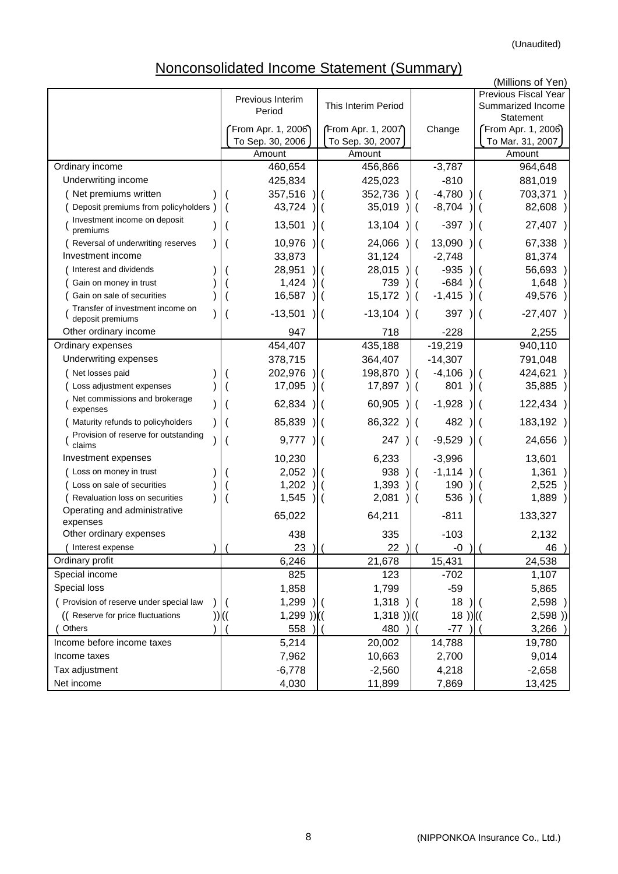# Nonconsolidated Income Statement (Summary)

|                                                      |                            |                     |               |              | (Millions of Yen)                         |
|------------------------------------------------------|----------------------------|---------------------|---------------|--------------|-------------------------------------------|
|                                                      | Previous Interim<br>Period | This Interim Period |               |              | Previous Fiscal Year<br>Summarized Income |
|                                                      |                            |                     |               |              | Statement                                 |
|                                                      | From Apr. 1, 2006)         | From Apr. 1, 2007)  |               | Change       | From Apr. 1, 2006                         |
|                                                      | To Sep. 30, 2006           | To Sep. 30, 2007    |               |              | To Mar. 31, 2007                          |
|                                                      | Amount                     | Amount              |               |              | Amount                                    |
| Ordinary income                                      | 460,654                    | 456,866             |               | $-3,787$     | 964,648                                   |
| Underwriting income                                  | 425,834                    | 425,023             |               | $-810$       | 881,019                                   |
| Net premiums written                                 | 357,516                    | 352,736             |               | $-4,780$     | 703,371                                   |
| Deposit premiums from policyholders                  | 43,724                     | 35,019              | $\parallel$ ( | $-8,704$     | 82,608                                    |
| Investment income on deposit<br>premiums             | 13,501                     | 13,104              | $\mathcal{H}$ | $-397$       | 27,407 )                                  |
| Reversal of underwriting reserves                    | 10,976                     | 24,066              |               | 13,090       | 67,338)                                   |
| Investment income                                    | 33,873                     | 31,124              |               | $-2,748$     | 81,374                                    |
| Interest and dividends                               | 28,951                     | 28,015              |               | $-935$       | 56,693                                    |
| Gain on money in trust                               | 1,424                      | 739                 |               | $-684$       | 1,648                                     |
| Gain on sale of securities                           | 16,587                     | 15,172              | $\mathcal{H}$ | $-1,415$     | 49,576                                    |
| Transfer of investment income on<br>deposit premiums | $-13,501$                  | $-13,104$           | $\mathcal{L}$ | 397          | $-27,407$ )                               |
| Other ordinary income                                | 947                        | 718                 |               | $-228$       | 2,255                                     |
| Ordinary expenses                                    | 454,407                    | 435,188             |               | $-19,219$    | 940,110                                   |
| Underwriting expenses                                | 378,715                    | 364,407             |               | $-14,307$    | 791,048                                   |
| Net losses paid                                      | 202,976                    | 198,870             |               | $-4,106$     | 424,621                                   |
| Loss adjustment expenses                             | 17,095                     | 17,897              |               | 801          | 35,885                                    |
| Net commissions and brokerage<br>expenses            | 62,834                     | 60,905              |               | $-1,928$     | 122,434)                                  |
| Maturity refunds to policyholders                    | 85,839                     | 86,322              |               | 482          | 183,192                                   |
| Provision of reserve for outstanding<br>claims       | 9,777                      | 247                 | $\parallel$ ( | $-9,529$     | 24,656)<br>$\overline{\phantom{a}}$       |
| Investment expenses                                  | 10,230                     | 6,233               |               | $-3,996$     | 13,601                                    |
| Loss on money in trust                               | 2,052                      | 938                 |               | $-1,114$     | 1,361                                     |
| Loss on sale of securities                           | 1,202                      | 1,393               |               | 190          | 2,525                                     |
| Revaluation loss on securities                       | 1,545                      | 2,081               |               | 536          | 1,889                                     |
| Operating and administrative<br>expenses             | 65,022                     | 64,211              |               | $-811$       | 133,327                                   |
| Other ordinary expenses                              | 438                        | 335                 |               | $-103$       | 2,132                                     |
| Interest expense                                     | 23                         | 22 )I               |               | -0           | 46                                        |
| Ordinary profit                                      | 6,246                      | 21,678              |               | 15,431       | 24,538                                    |
| Special income                                       | 825                        | 123                 |               | $-702$       | 1,107                                     |
| Special loss                                         | 1,858                      | 1,799               |               | $-59$        | 5,865                                     |
| ( Provision of reserve under special law             | 1,299                      | 1,318               |               | 18           | 2,598                                     |
| (( Reserve for price fluctuations                    | $1,299$ ))((               | $1,318$ )) $($      |               | $(18)$ ) $($ | 2,598)                                    |
| Others                                               | 558                        | 480                 |               | $-77$        | 3,266                                     |
| Income before income taxes                           | 5,214                      | 20,002              |               | 14,788       | 19,780                                    |
| Income taxes                                         | 7,962                      | 10,663              |               | 2,700        | 9,014                                     |
| Tax adjustment                                       | $-6,778$                   | $-2,560$            |               | 4,218        | $-2,658$                                  |
| Net income                                           | 4,030                      | 11,899              |               | 7,869        | 13,425                                    |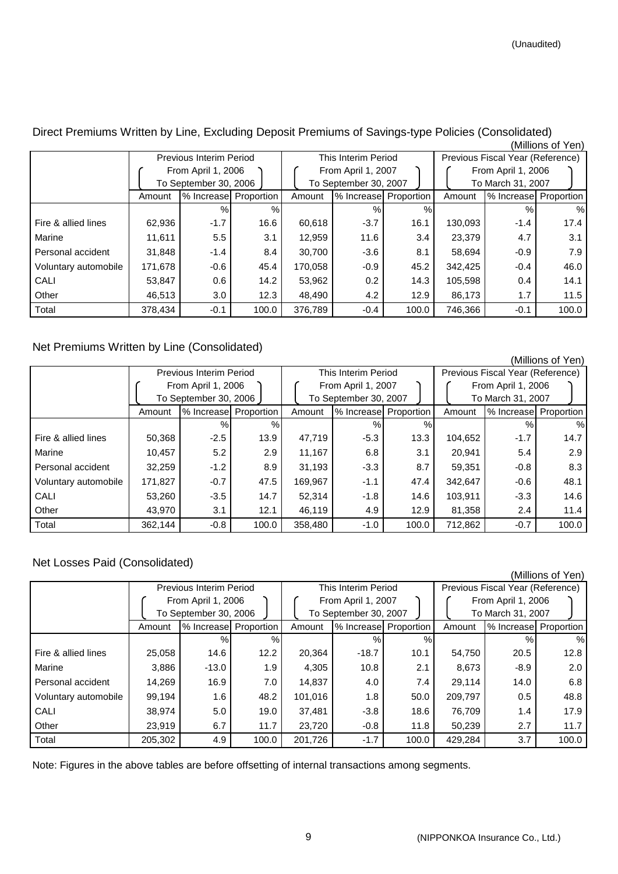|                      |         | <b>Previous Interim Period</b>              |       |                                             | This Interim Period   |       | Previous Fiscal Year (Reference)        |                        |       |  |
|----------------------|---------|---------------------------------------------|-------|---------------------------------------------|-----------------------|-------|-----------------------------------------|------------------------|-------|--|
|                      |         | From April 1, 2006<br>To September 30, 2006 |       | From April 1, 2007<br>To September 30, 2007 |                       |       | From April 1, 2006<br>To March 31, 2007 |                        |       |  |
|                      | Amount  | % Increase Proportion                       |       | Amount                                      | % Increase Proportion |       | Amount                                  | % Increasel Proportion |       |  |
|                      |         | %                                           | %     |                                             | %                     | %     |                                         | $\%$                   | $\%$  |  |
| Fire & allied lines  | 62,936  | $-1.7$                                      | 16.6  | 60,618                                      | $-3.7$                | 16.1  | 130,093                                 | $-1.4$                 | 17.4  |  |
| Marine               | 11,611  | 5.5                                         | 3.1   | 12,959                                      | 11.6                  | 3.4   | 23,379                                  | 4.7                    | 3.1   |  |
| Personal accident    | 31,848  | $-1.4$                                      | 8.4   | 30,700                                      | $-3.6$                | 8.1   | 58,694                                  | $-0.9$                 | 7.9   |  |
| Voluntary automobile | 171.678 | -0.6                                        | 45.4  | 170.058                                     | $-0.9$                | 45.2  | 342,425                                 | $-0.4$                 | 46.0  |  |
| CALI                 | 53,847  | 0.6                                         | 14.2  | 53,962                                      | 0.2                   | 14.3  | 105,598                                 | 0.4                    | 14.1  |  |
| Other                | 46.513  | 3.0                                         | 12.3  | 48.490                                      | 4.2                   | 12.9  | 86.173                                  | 1.7                    | 11.5  |  |
| Total                | 378,434 | $-0.1$                                      | 100.0 | 376.789                                     | $-0.4$                | 100.0 | 746,366                                 | $-0.1$                 | 100.0 |  |

Direct Premiums Written by Line, Excluding Deposit Premiums of Savings-type Policies (Consolidated) (Millions of Yen)

## Net Premiums Written by Line (Consolidated)

|                      |         |                         |       |         |                       |       |                                  |                       | (Millions of Yen) |  |
|----------------------|---------|-------------------------|-------|---------|-----------------------|-------|----------------------------------|-----------------------|-------------------|--|
|                      |         | Previous Interim Period |       |         | This Interim Period   |       | Previous Fiscal Year (Reference) |                       |                   |  |
|                      |         | From April 1, 2006      |       |         | From April 1, 2007    |       |                                  | From April 1, 2006    |                   |  |
|                      |         | To September 30, 2006   |       |         | To September 30, 2007 |       |                                  | To March 31, 2007     |                   |  |
|                      | Amount  | % Increase Proportion   |       | Amount  | % Increase Proportion |       | Amount                           | % Increase Proportion |                   |  |
|                      |         | $\%$                    | %     |         | $\%$                  | $\%$  |                                  | %                     | %                 |  |
| Fire & allied lines  | 50,368  | $-2.5$                  | 13.9  | 47,719  | $-5.3$                | 13.3  | 104,652                          | $-1.7$                | 14.7              |  |
| Marine               | 10,457  | 5.2                     | 2.9   | 11,167  | 6.8                   | 3.1   | 20,941                           | 5.4                   | 2.9               |  |
| Personal accident    | 32,259  | $-1.2$                  | 8.9   | 31,193  | $-3.3$                | 8.7   | 59,351                           | $-0.8$                | 8.3               |  |
| Voluntary automobile | 171,827 | $-0.7$                  | 47.5  | 169,967 | $-1.1$                | 47.4  | 342,647                          | $-0.6$                | 48.1              |  |
| CALI                 | 53,260  | $-3.5$                  | 14.7  | 52,314  | $-1.8$                | 14.6  | 103,911                          | $-3.3$                | 14.6              |  |
| Other                | 43.970  | 3.1                     | 12.1  | 46,119  | 4.9                   | 12.9  | 81,358                           | $2.4\,$               | 11.4              |  |
| Total                | 362,144 | $-0.8$                  | 100.0 | 358,480 | $-1.0$                | 100.0 | 712,862                          | $-0.7$                | 100.0             |  |

## Net Losses Paid (Consolidated)

|                      |         |                         |       |         |                       |       |                                  |                    | (Millions of Yen)     |  |
|----------------------|---------|-------------------------|-------|---------|-----------------------|-------|----------------------------------|--------------------|-----------------------|--|
|                      |         | Previous Interim Period |       |         | This Interim Period   |       | Previous Fiscal Year (Reference) |                    |                       |  |
|                      |         | From April 1, 2006      |       |         | From April 1, 2007    |       |                                  | From April 1, 2006 |                       |  |
|                      |         | To September 30, 2006   |       |         | To September 30, 2007 |       |                                  | To March 31, 2007  |                       |  |
|                      | Amount  | % Increase Proportion   |       | Amount  | % Increase Proportion |       | Amount                           |                    | % Increase Proportion |  |
|                      |         | $\%$                    | %     |         | $\%$                  | %     |                                  | %                  | %                     |  |
| Fire & allied lines  | 25,058  | 14.6                    | 12.2  | 20,364  | $-18.7$               | 10.1  | 54,750                           | 20.5               | 12.8                  |  |
| Marine               | 3,886   | $-13.0$                 | 1.9   | 4,305   | 10.8                  | 2.1   | 8,673                            | $-8.9$             | 2.0                   |  |
| Personal accident    | 14,269  | 16.9                    | 7.0   | 14,837  | 4.0                   | 7.4   | 29.114                           | 14.0               | 6.8                   |  |
| Voluntary automobile | 99.194  | 1.6                     | 48.2  | 101,016 | 1.8                   | 50.0  | 209,797                          | 0.5                | 48.8                  |  |
| CALI                 | 38,974  | 5.0                     | 19.0  | 37,481  | $-3.8$                | 18.6  | 76,709                           | 1.4                | 17.9                  |  |
| Other                | 23.919  | 6.7                     | 11.7  | 23,720  | $-0.8$                | 11.8  | 50,239                           | 2.7                | 11.7                  |  |
| Total                | 205.302 | 4.9                     | 100.0 | 201,726 | $-1.7$                | 100.0 | 429.284                          | 3.7                | 100.0                 |  |

Note: Figures in the above tables are before offsetting of internal transactions among segments.